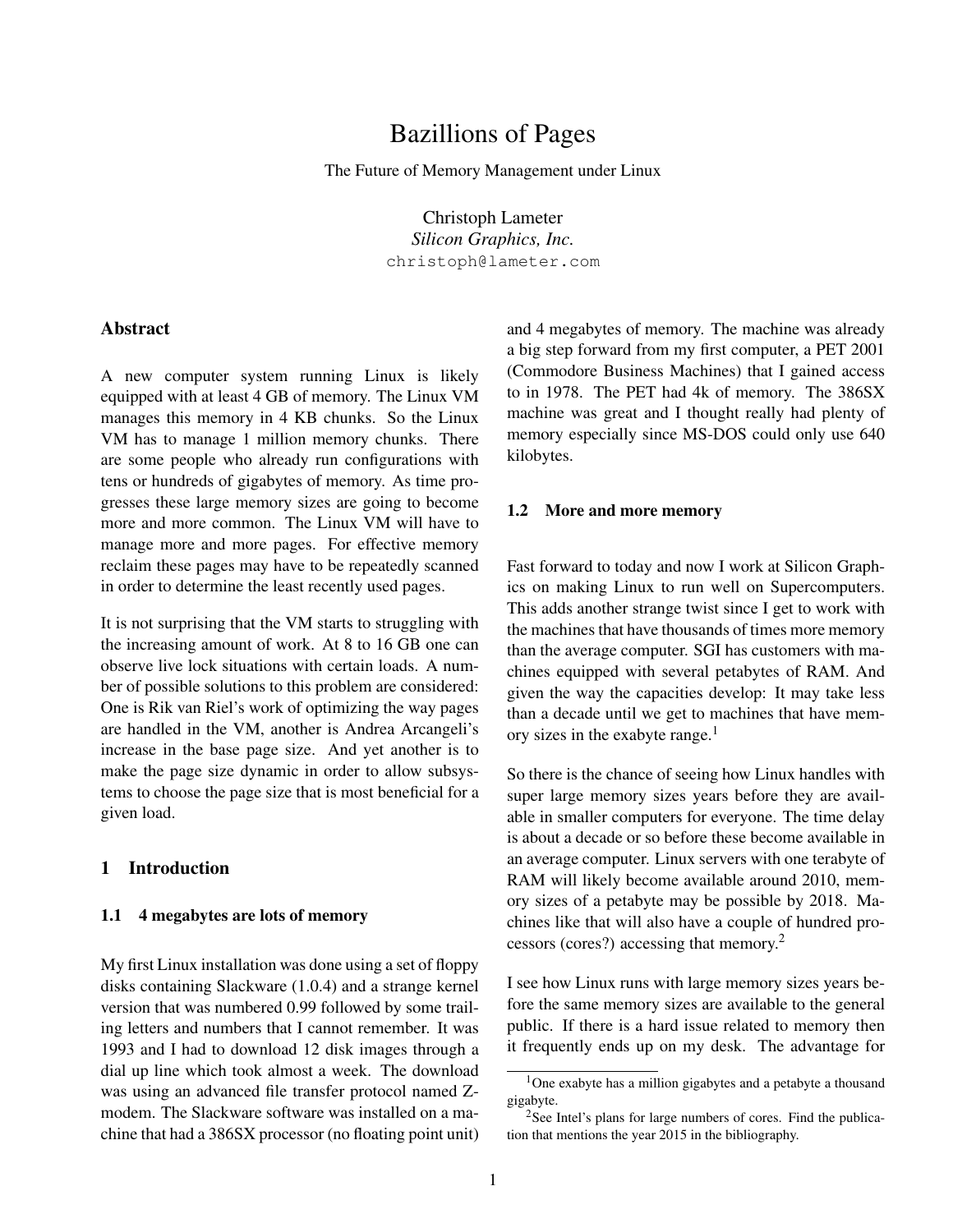# Bazillions of Pages

The Future of Memory Management under Linux

Christoph Lameter *Silicon Graphics, Inc.* christoph@lameter.com

## Abstract

A new computer system running Linux is likely equipped with at least 4 GB of memory. The Linux VM manages this memory in 4 KB chunks. So the Linux VM has to manage 1 million memory chunks. There are some people who already run configurations with tens or hundreds of gigabytes of memory. As time progresses these large memory sizes are going to become more and more common. The Linux VM will have to manage more and more pages. For effective memory reclaim these pages may have to be repeatedly scanned in order to determine the least recently used pages.

It is not surprising that the VM starts to struggling with the increasing amount of work. At 8 to 16 GB one can observe live lock situations with certain loads. A number of possible solutions to this problem are considered: One is Rik van Riel's work of optimizing the way pages are handled in the VM, another is Andrea Arcangeli's increase in the base page size. And yet another is to make the page size dynamic in order to allow subsystems to choose the page size that is most beneficial for a given load.

## 1 Introduction

#### 1.1 4 megabytes are lots of memory

My first Linux installation was done using a set of floppy disks containing Slackware (1.0.4) and a strange kernel version that was numbered 0.99 followed by some trailing letters and numbers that I cannot remember. It was 1993 and I had to download 12 disk images through a dial up line which took almost a week. The download was using an advanced file transfer protocol named Zmodem. The Slackware software was installed on a machine that had a 386SX processor (no floating point unit)

and 4 megabytes of memory. The machine was already a big step forward from my first computer, a PET 2001 (Commodore Business Machines) that I gained access to in 1978. The PET had 4k of memory. The 386SX machine was great and I thought really had plenty of memory especially since MS-DOS could only use 640 kilobytes.

#### 1.2 More and more memory

Fast forward to today and now I work at Silicon Graphics on making Linux to run well on Supercomputers. This adds another strange twist since I get to work with the machines that have thousands of times more memory than the average computer. SGI has customers with machines equipped with several petabytes of RAM. And given the way the capacities develop: It may take less than a decade until we get to machines that have memory sizes in the exabyte range.<sup>1</sup>

So there is the chance of seeing how Linux handles with super large memory sizes years before they are available in smaller computers for everyone. The time delay is about a decade or so before these become available in an average computer. Linux servers with one terabyte of RAM will likely become available around 2010, memory sizes of a petabyte may be possible by 2018. Machines like that will also have a couple of hundred processors (cores?) accessing that memory.<sup>2</sup>

I see how Linux runs with large memory sizes years before the same memory sizes are available to the general public. If there is a hard issue related to memory then it frequently ends up on my desk. The advantage for

 $1$ One exabyte has a million gigabytes and a petabyte a thousand gigabyte.

<sup>&</sup>lt;sup>2</sup>See Intel's plans for large numbers of cores. Find the publication that mentions the year 2015 in the bibliography.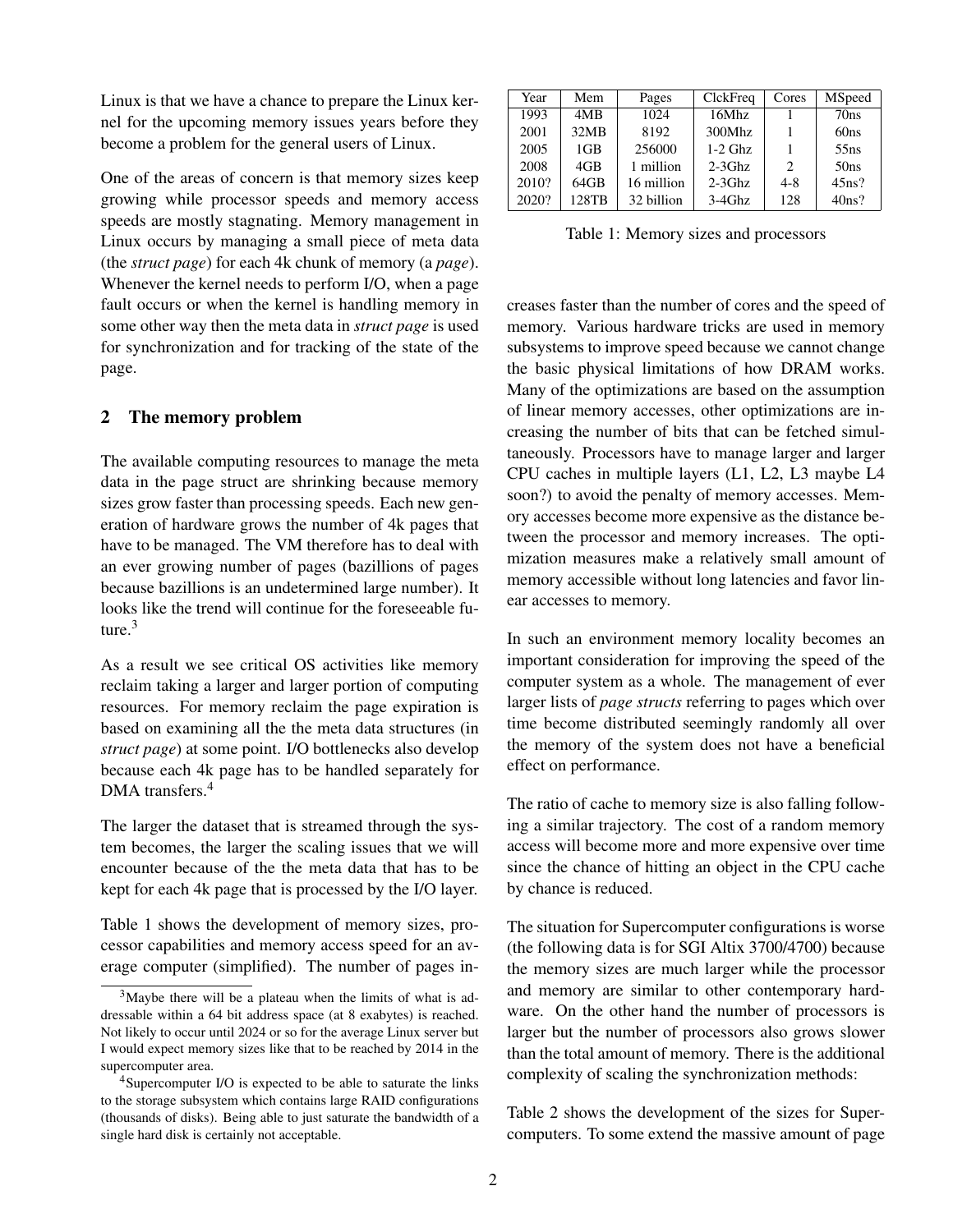Linux is that we have a chance to prepare the Linux kernel for the upcoming memory issues years before they become a problem for the general users of Linux.

One of the areas of concern is that memory sizes keep growing while processor speeds and memory access speeds are mostly stagnating. Memory management in Linux occurs by managing a small piece of meta data (the *struct page*) for each 4k chunk of memory (a *page*). Whenever the kernel needs to perform I/O, when a page fault occurs or when the kernel is handling memory in some other way then the meta data in *struct page* is used for synchronization and for tracking of the state of the page.

## 2 The memory problem

The available computing resources to manage the meta data in the page struct are shrinking because memory sizes grow faster than processing speeds. Each new generation of hardware grows the number of 4k pages that have to be managed. The VM therefore has to deal with an ever growing number of pages (bazillions of pages because bazillions is an undetermined large number). It looks like the trend will continue for the foreseeable future $3$ 

As a result we see critical OS activities like memory reclaim taking a larger and larger portion of computing resources. For memory reclaim the page expiration is based on examining all the the meta data structures (in *struct page*) at some point. I/O bottlenecks also develop because each 4k page has to be handled separately for DMA transfers.<sup>4</sup>

The larger the dataset that is streamed through the system becomes, the larger the scaling issues that we will encounter because of the the meta data that has to be kept for each 4k page that is processed by the I/O layer.

Table 1 shows the development of memory sizes, processor capabilities and memory access speed for an average computer (simplified). The number of pages in-

| Year  | Mem             | Pages      | ClckFreq  | Cores   | MSpeed           |
|-------|-----------------|------------|-----------|---------|------------------|
| 1993  | 4MB             | 1024       | 16Mhz     |         | 70ns             |
| 2001  | 32MB            | 8192       | 300Mhz    |         | 60 <sub>ns</sub> |
| 2005  | 1 <sub>GB</sub> | 256000     | $1-2$ Ghz |         | 55ns             |
| 2008  | 4GB             | 1 million  | $2-3Ghz$  | 2       | 50 <sub>ns</sub> |
| 2010? | 64GB            | 16 million | $2-3Ghz$  | $4 - 8$ | 45ns?            |
| 2020? | 128TB           | 32 billion | $3-4Ghz$  | 128     | 40ns?            |

Table 1: Memory sizes and processors

creases faster than the number of cores and the speed of memory. Various hardware tricks are used in memory subsystems to improve speed because we cannot change the basic physical limitations of how DRAM works. Many of the optimizations are based on the assumption of linear memory accesses, other optimizations are increasing the number of bits that can be fetched simultaneously. Processors have to manage larger and larger CPU caches in multiple layers (L1, L2, L3 maybe L4 soon?) to avoid the penalty of memory accesses. Memory accesses become more expensive as the distance between the processor and memory increases. The optimization measures make a relatively small amount of memory accessible without long latencies and favor linear accesses to memory.

In such an environment memory locality becomes an important consideration for improving the speed of the computer system as a whole. The management of ever larger lists of *page structs* referring to pages which over time become distributed seemingly randomly all over the memory of the system does not have a beneficial effect on performance.

The ratio of cache to memory size is also falling following a similar trajectory. The cost of a random memory access will become more and more expensive over time since the chance of hitting an object in the CPU cache by chance is reduced.

The situation for Supercomputer configurations is worse (the following data is for SGI Altix 3700/4700) because the memory sizes are much larger while the processor and memory are similar to other contemporary hardware. On the other hand the number of processors is larger but the number of processors also grows slower than the total amount of memory. There is the additional complexity of scaling the synchronization methods:

Table 2 shows the development of the sizes for Supercomputers. To some extend the massive amount of page

 $3^3$ Maybe there will be a plateau when the limits of what is addressable within a 64 bit address space (at 8 exabytes) is reached. Not likely to occur until 2024 or so for the average Linux server but I would expect memory sizes like that to be reached by 2014 in the supercomputer area.

<sup>&</sup>lt;sup>4</sup>Supercomputer I/O is expected to be able to saturate the links to the storage subsystem which contains large RAID configurations (thousands of disks). Being able to just saturate the bandwidth of a single hard disk is certainly not acceptable.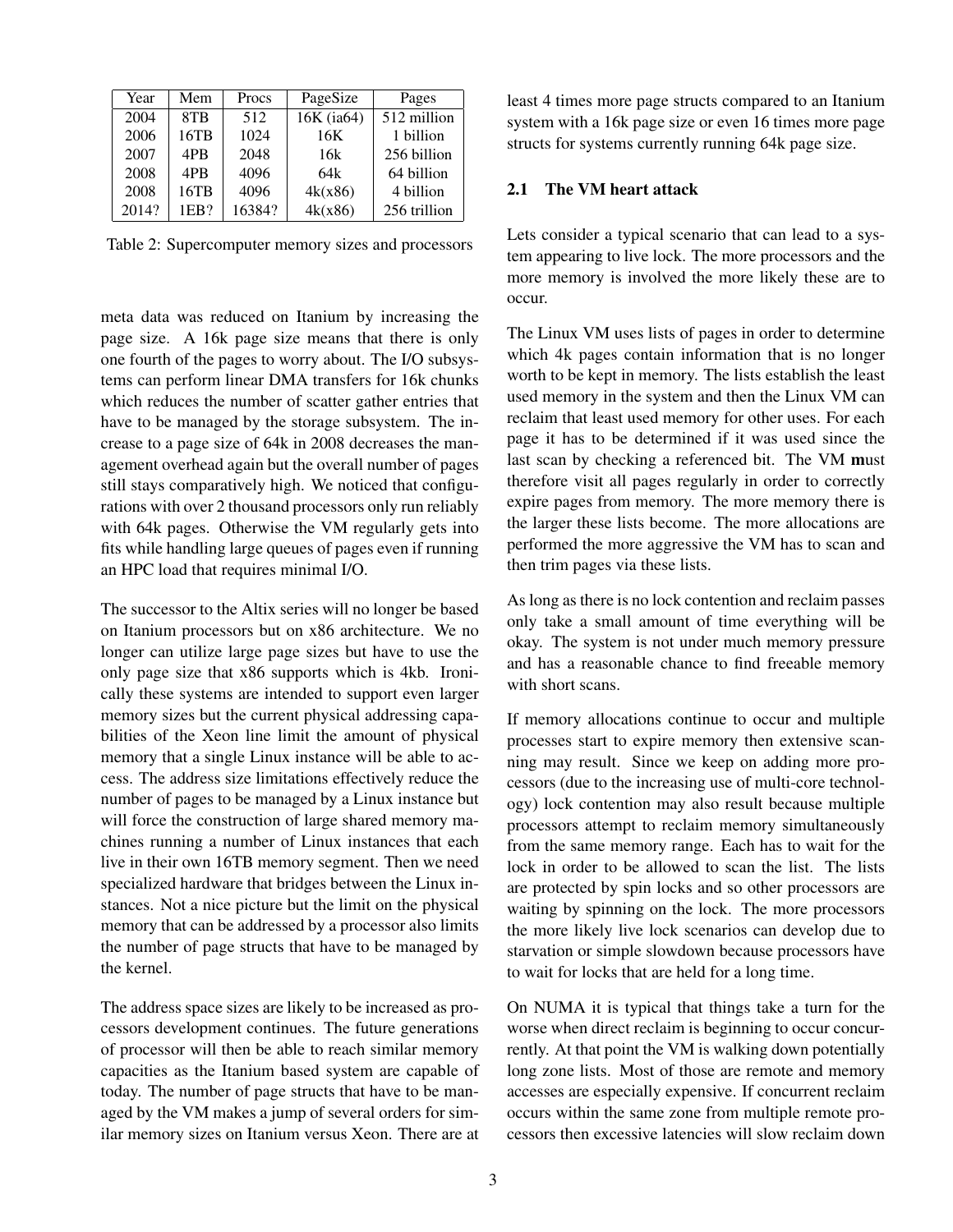| Year  | Mem             | Procs  | PageSize   | Pages        |
|-------|-----------------|--------|------------|--------------|
| 2004  | 8TB             | 512    | 16K (ia64) | 512 million  |
| 2006  | 16TB            | 1024   | 16K        | 1 billion    |
| 2007  | 4P <sub>B</sub> | 2048   | 16k        | 256 billion  |
| 2008  | 4P <sub>B</sub> | 4096   | 64k        | 64 billion   |
| 2008  | 16TB            | 4096   | 4k(x86)    | 4 billion    |
| 2014? | 1EB?            | 16384? | 4k(x86)    | 256 trillion |

Table 2: Supercomputer memory sizes and processors

meta data was reduced on Itanium by increasing the page size. A 16k page size means that there is only one fourth of the pages to worry about. The I/O subsystems can perform linear DMA transfers for 16k chunks which reduces the number of scatter gather entries that have to be managed by the storage subsystem. The increase to a page size of 64k in 2008 decreases the management overhead again but the overall number of pages still stays comparatively high. We noticed that configurations with over 2 thousand processors only run reliably with 64k pages. Otherwise the VM regularly gets into fits while handling large queues of pages even if running an HPC load that requires minimal I/O.

The successor to the Altix series will no longer be based on Itanium processors but on x86 architecture. We no longer can utilize large page sizes but have to use the only page size that x86 supports which is 4kb. Ironically these systems are intended to support even larger memory sizes but the current physical addressing capabilities of the Xeon line limit the amount of physical memory that a single Linux instance will be able to access. The address size limitations effectively reduce the number of pages to be managed by a Linux instance but will force the construction of large shared memory machines running a number of Linux instances that each live in their own 16TB memory segment. Then we need specialized hardware that bridges between the Linux instances. Not a nice picture but the limit on the physical memory that can be addressed by a processor also limits the number of page structs that have to be managed by the kernel.

The address space sizes are likely to be increased as processors development continues. The future generations of processor will then be able to reach similar memory capacities as the Itanium based system are capable of today. The number of page structs that have to be managed by the VM makes a jump of several orders for similar memory sizes on Itanium versus Xeon. There are at least 4 times more page structs compared to an Itanium system with a 16k page size or even 16 times more page structs for systems currently running 64k page size.

#### 2.1 The VM heart attack

Lets consider a typical scenario that can lead to a system appearing to live lock. The more processors and the more memory is involved the more likely these are to occur.

The Linux VM uses lists of pages in order to determine which 4k pages contain information that is no longer worth to be kept in memory. The lists establish the least used memory in the system and then the Linux VM can reclaim that least used memory for other uses. For each page it has to be determined if it was used since the last scan by checking a referenced bit. The VM must therefore visit all pages regularly in order to correctly expire pages from memory. The more memory there is the larger these lists become. The more allocations are performed the more aggressive the VM has to scan and then trim pages via these lists.

As long as there is no lock contention and reclaim passes only take a small amount of time everything will be okay. The system is not under much memory pressure and has a reasonable chance to find freeable memory with short scans.

If memory allocations continue to occur and multiple processes start to expire memory then extensive scanning may result. Since we keep on adding more processors (due to the increasing use of multi-core technology) lock contention may also result because multiple processors attempt to reclaim memory simultaneously from the same memory range. Each has to wait for the lock in order to be allowed to scan the list. The lists are protected by spin locks and so other processors are waiting by spinning on the lock. The more processors the more likely live lock scenarios can develop due to starvation or simple slowdown because processors have to wait for locks that are held for a long time.

On NUMA it is typical that things take a turn for the worse when direct reclaim is beginning to occur concurrently. At that point the VM is walking down potentially long zone lists. Most of those are remote and memory accesses are especially expensive. If concurrent reclaim occurs within the same zone from multiple remote processors then excessive latencies will slow reclaim down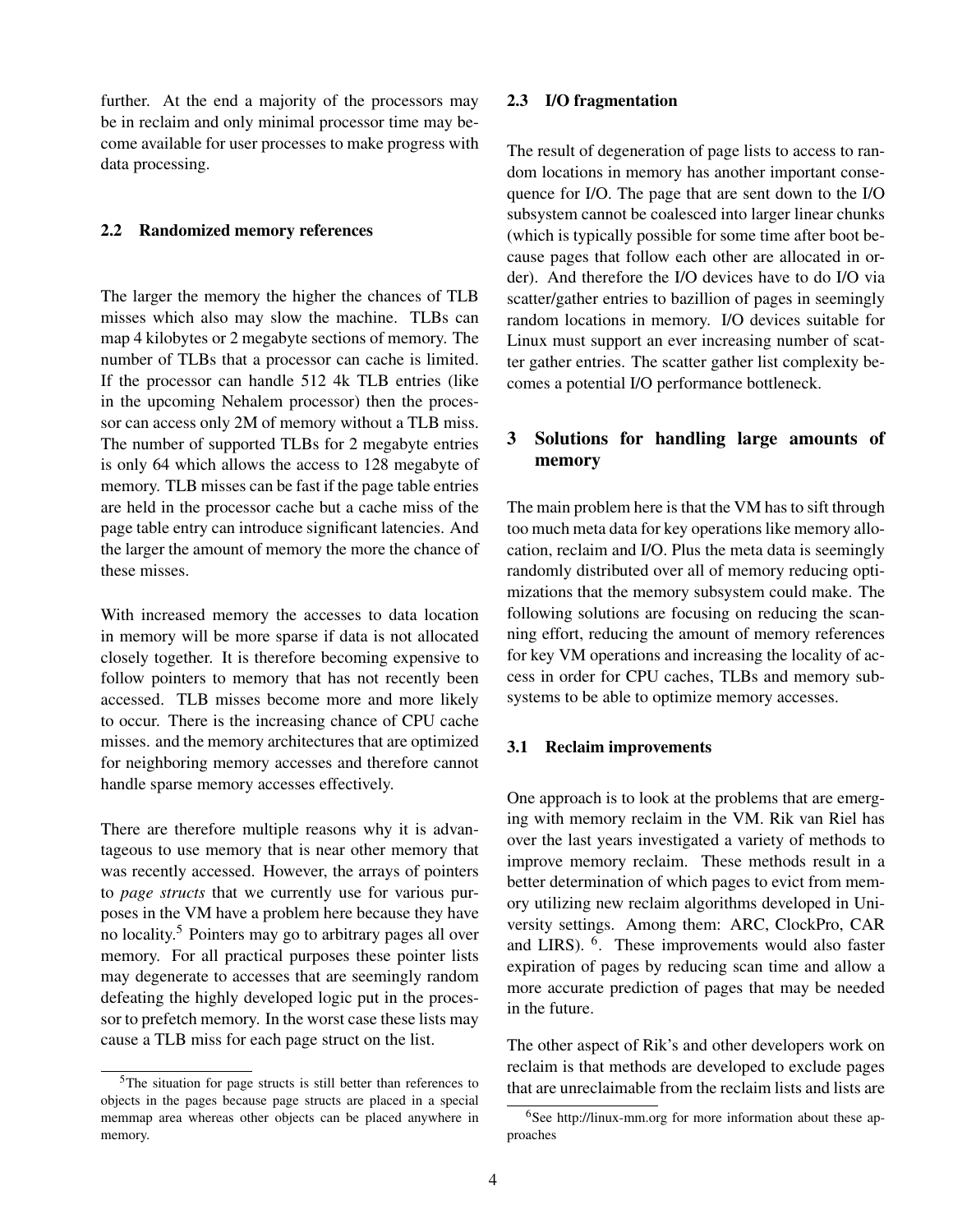further. At the end a majority of the processors may be in reclaim and only minimal processor time may become available for user processes to make progress with data processing.

#### 2.2 Randomized memory references

The larger the memory the higher the chances of TLB misses which also may slow the machine. TLBs can map 4 kilobytes or 2 megabyte sections of memory. The number of TLBs that a processor can cache is limited. If the processor can handle 512 4k TLB entries (like in the upcoming Nehalem processor) then the processor can access only 2M of memory without a TLB miss. The number of supported TLBs for 2 megabyte entries is only 64 which allows the access to 128 megabyte of memory. TLB misses can be fast if the page table entries are held in the processor cache but a cache miss of the page table entry can introduce significant latencies. And the larger the amount of memory the more the chance of these misses.

With increased memory the accesses to data location in memory will be more sparse if data is not allocated closely together. It is therefore becoming expensive to follow pointers to memory that has not recently been accessed. TLB misses become more and more likely to occur. There is the increasing chance of CPU cache misses. and the memory architectures that are optimized for neighboring memory accesses and therefore cannot handle sparse memory accesses effectively.

There are therefore multiple reasons why it is advantageous to use memory that is near other memory that was recently accessed. However, the arrays of pointers to *page structs* that we currently use for various purposes in the VM have a problem here because they have no locality.<sup>5</sup> Pointers may go to arbitrary pages all over memory. For all practical purposes these pointer lists may degenerate to accesses that are seemingly random defeating the highly developed logic put in the processor to prefetch memory. In the worst case these lists may cause a TLB miss for each page struct on the list.

#### 2.3 I/O fragmentation

The result of degeneration of page lists to access to random locations in memory has another important consequence for I/O. The page that are sent down to the I/O subsystem cannot be coalesced into larger linear chunks (which is typically possible for some time after boot because pages that follow each other are allocated in order). And therefore the I/O devices have to do I/O via scatter/gather entries to bazillion of pages in seemingly random locations in memory. I/O devices suitable for Linux must support an ever increasing number of scatter gather entries. The scatter gather list complexity becomes a potential I/O performance bottleneck.

# 3 Solutions for handling large amounts of memory

The main problem here is that the VM has to sift through too much meta data for key operations like memory allocation, reclaim and I/O. Plus the meta data is seemingly randomly distributed over all of memory reducing optimizations that the memory subsystem could make. The following solutions are focusing on reducing the scanning effort, reducing the amount of memory references for key VM operations and increasing the locality of access in order for CPU caches, TLBs and memory subsystems to be able to optimize memory accesses.

#### 3.1 Reclaim improvements

One approach is to look at the problems that are emerging with memory reclaim in the VM. Rik van Riel has over the last years investigated a variety of methods to improve memory reclaim. These methods result in a better determination of which pages to evict from memory utilizing new reclaim algorithms developed in University settings. Among them: ARC, ClockPro, CAR and LIRS). <sup>6</sup>. These improvements would also faster expiration of pages by reducing scan time and allow a more accurate prediction of pages that may be needed in the future.

The other aspect of Rik's and other developers work on reclaim is that methods are developed to exclude pages that are unreclaimable from the reclaim lists and lists are

<sup>5</sup>The situation for page structs is still better than references to objects in the pages because page structs are placed in a special memmap area whereas other objects can be placed anywhere in memory.

<sup>&</sup>lt;sup>6</sup>See http://linux-mm.org for more information about these approaches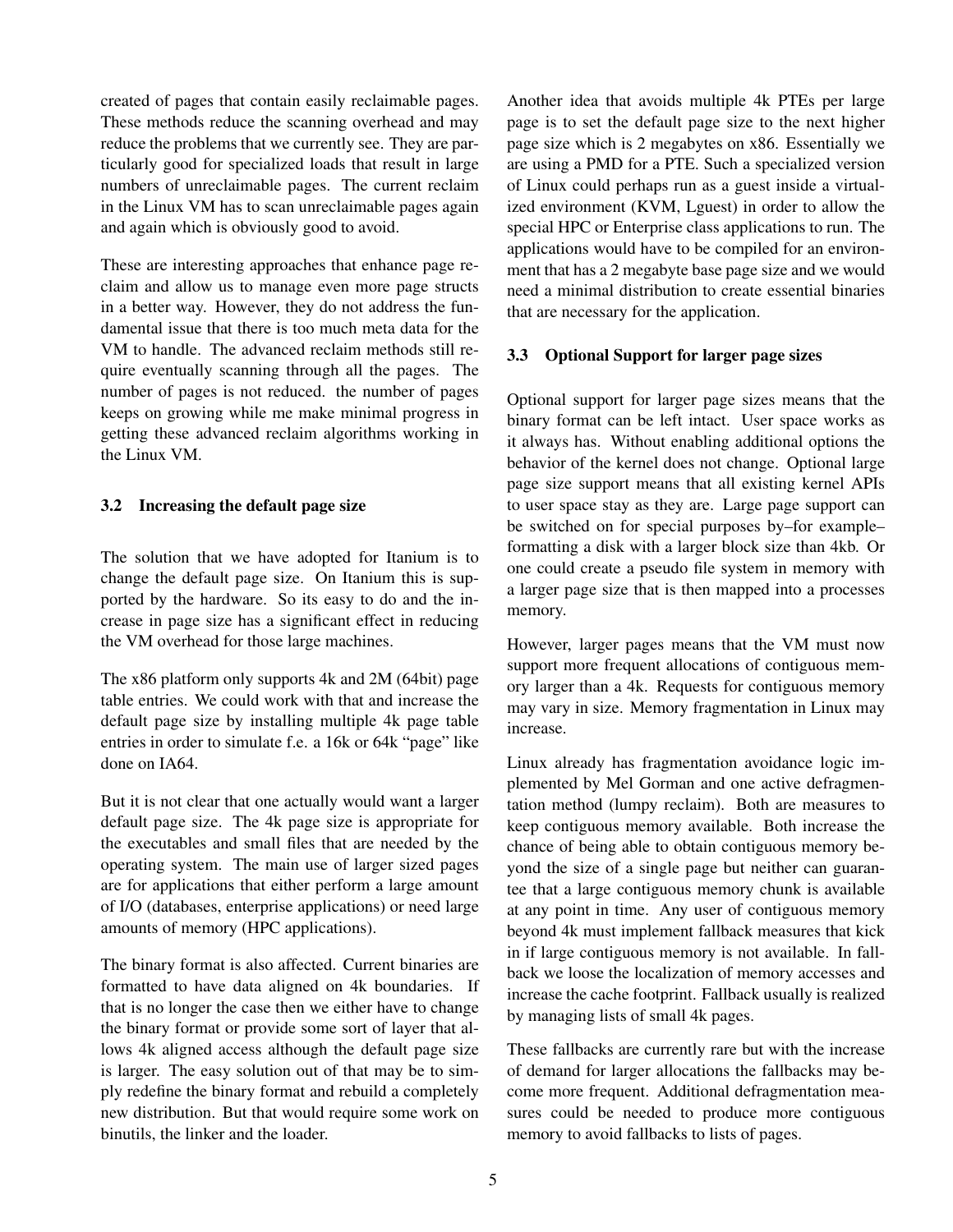created of pages that contain easily reclaimable pages. These methods reduce the scanning overhead and may reduce the problems that we currently see. They are particularly good for specialized loads that result in large numbers of unreclaimable pages. The current reclaim in the Linux VM has to scan unreclaimable pages again and again which is obviously good to avoid.

These are interesting approaches that enhance page reclaim and allow us to manage even more page structs in a better way. However, they do not address the fundamental issue that there is too much meta data for the VM to handle. The advanced reclaim methods still require eventually scanning through all the pages. The number of pages is not reduced. the number of pages keeps on growing while me make minimal progress in getting these advanced reclaim algorithms working in the Linux VM.

## 3.2 Increasing the default page size

The solution that we have adopted for Itanium is to change the default page size. On Itanium this is supported by the hardware. So its easy to do and the increase in page size has a significant effect in reducing the VM overhead for those large machines.

The x86 platform only supports 4k and 2M (64bit) page table entries. We could work with that and increase the default page size by installing multiple 4k page table entries in order to simulate f.e. a 16k or 64k "page" like done on IA64.

But it is not clear that one actually would want a larger default page size. The 4k page size is appropriate for the executables and small files that are needed by the operating system. The main use of larger sized pages are for applications that either perform a large amount of I/O (databases, enterprise applications) or need large amounts of memory (HPC applications).

The binary format is also affected. Current binaries are formatted to have data aligned on 4k boundaries. If that is no longer the case then we either have to change the binary format or provide some sort of layer that allows 4k aligned access although the default page size is larger. The easy solution out of that may be to simply redefine the binary format and rebuild a completely new distribution. But that would require some work on binutils, the linker and the loader.

Another idea that avoids multiple 4k PTEs per large page is to set the default page size to the next higher page size which is 2 megabytes on x86. Essentially we are using a PMD for a PTE. Such a specialized version of Linux could perhaps run as a guest inside a virtualized environment (KVM, Lguest) in order to allow the special HPC or Enterprise class applications to run. The applications would have to be compiled for an environment that has a 2 megabyte base page size and we would need a minimal distribution to create essential binaries that are necessary for the application.

# 3.3 Optional Support for larger page sizes

Optional support for larger page sizes means that the binary format can be left intact. User space works as it always has. Without enabling additional options the behavior of the kernel does not change. Optional large page size support means that all existing kernel APIs to user space stay as they are. Large page support can be switched on for special purposes by–for example– formatting a disk with a larger block size than 4kb. Or one could create a pseudo file system in memory with a larger page size that is then mapped into a processes memory.

However, larger pages means that the VM must now support more frequent allocations of contiguous memory larger than a 4k. Requests for contiguous memory may vary in size. Memory fragmentation in Linux may increase.

Linux already has fragmentation avoidance logic implemented by Mel Gorman and one active defragmentation method (lumpy reclaim). Both are measures to keep contiguous memory available. Both increase the chance of being able to obtain contiguous memory beyond the size of a single page but neither can guarantee that a large contiguous memory chunk is available at any point in time. Any user of contiguous memory beyond 4k must implement fallback measures that kick in if large contiguous memory is not available. In fallback we loose the localization of memory accesses and increase the cache footprint. Fallback usually is realized by managing lists of small 4k pages.

These fallbacks are currently rare but with the increase of demand for larger allocations the fallbacks may become more frequent. Additional defragmentation measures could be needed to produce more contiguous memory to avoid fallbacks to lists of pages.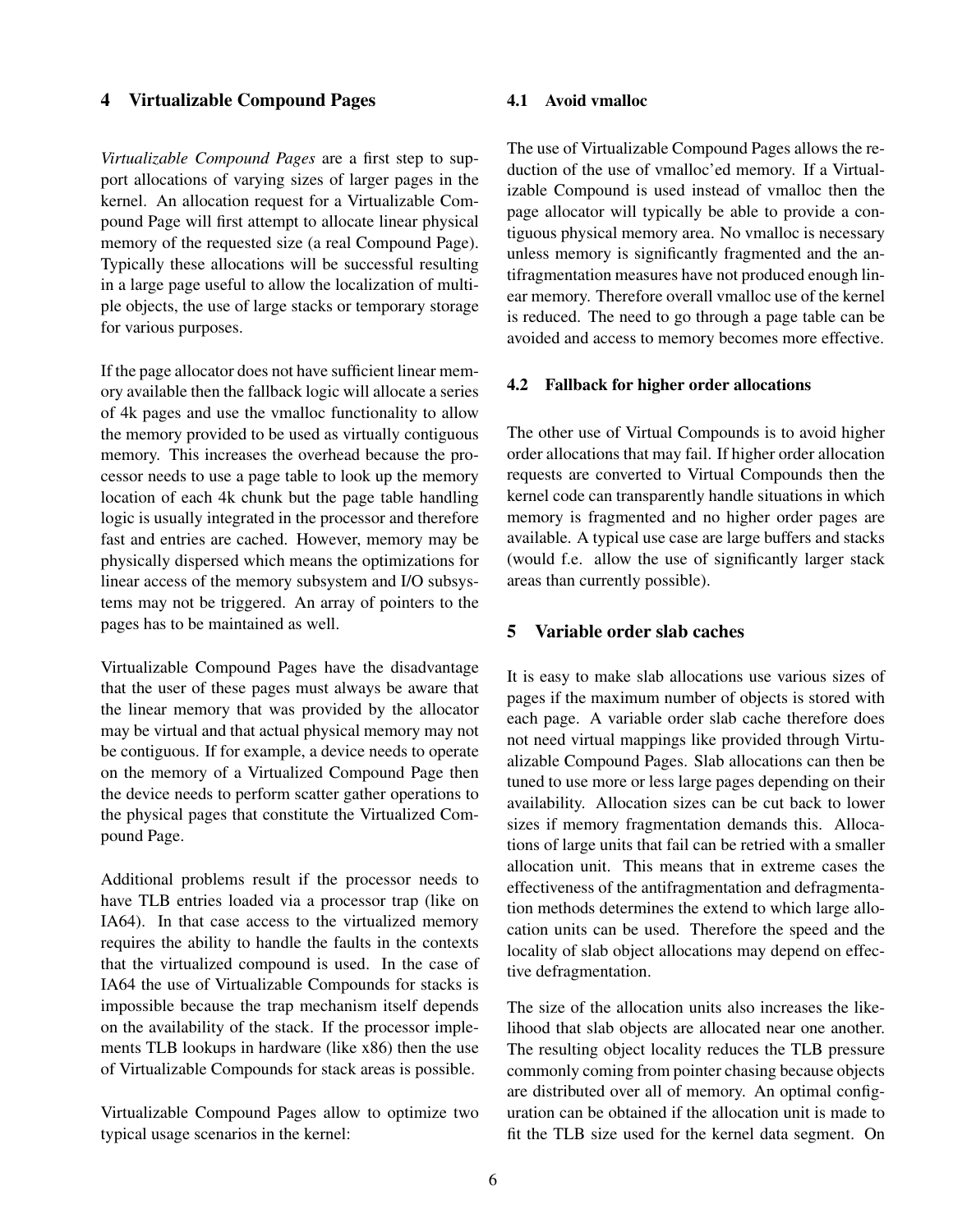#### 4 Virtualizable Compound Pages

*Virtualizable Compound Pages* are a first step to support allocations of varying sizes of larger pages in the kernel. An allocation request for a Virtualizable Compound Page will first attempt to allocate linear physical memory of the requested size (a real Compound Page). Typically these allocations will be successful resulting in a large page useful to allow the localization of multiple objects, the use of large stacks or temporary storage for various purposes.

If the page allocator does not have sufficient linear memory available then the fallback logic will allocate a series of 4k pages and use the vmalloc functionality to allow the memory provided to be used as virtually contiguous memory. This increases the overhead because the processor needs to use a page table to look up the memory location of each 4k chunk but the page table handling logic is usually integrated in the processor and therefore fast and entries are cached. However, memory may be physically dispersed which means the optimizations for linear access of the memory subsystem and I/O subsystems may not be triggered. An array of pointers to the pages has to be maintained as well.

Virtualizable Compound Pages have the disadvantage that the user of these pages must always be aware that the linear memory that was provided by the allocator may be virtual and that actual physical memory may not be contiguous. If for example, a device needs to operate on the memory of a Virtualized Compound Page then the device needs to perform scatter gather operations to the physical pages that constitute the Virtualized Compound Page.

Additional problems result if the processor needs to have TLB entries loaded via a processor trap (like on IA64). In that case access to the virtualized memory requires the ability to handle the faults in the contexts that the virtualized compound is used. In the case of IA64 the use of Virtualizable Compounds for stacks is impossible because the trap mechanism itself depends on the availability of the stack. If the processor implements TLB lookups in hardware (like x86) then the use of Virtualizable Compounds for stack areas is possible.

Virtualizable Compound Pages allow to optimize two typical usage scenarios in the kernel:

#### 4.1 Avoid vmalloc

The use of Virtualizable Compound Pages allows the reduction of the use of vmalloc'ed memory. If a Virtualizable Compound is used instead of vmalloc then the page allocator will typically be able to provide a contiguous physical memory area. No vmalloc is necessary unless memory is significantly fragmented and the antifragmentation measures have not produced enough linear memory. Therefore overall vmalloc use of the kernel is reduced. The need to go through a page table can be avoided and access to memory becomes more effective.

## 4.2 Fallback for higher order allocations

The other use of Virtual Compounds is to avoid higher order allocations that may fail. If higher order allocation requests are converted to Virtual Compounds then the kernel code can transparently handle situations in which memory is fragmented and no higher order pages are available. A typical use case are large buffers and stacks (would f.e. allow the use of significantly larger stack areas than currently possible).

# 5 Variable order slab caches

It is easy to make slab allocations use various sizes of pages if the maximum number of objects is stored with each page. A variable order slab cache therefore does not need virtual mappings like provided through Virtualizable Compound Pages. Slab allocations can then be tuned to use more or less large pages depending on their availability. Allocation sizes can be cut back to lower sizes if memory fragmentation demands this. Allocations of large units that fail can be retried with a smaller allocation unit. This means that in extreme cases the effectiveness of the antifragmentation and defragmentation methods determines the extend to which large allocation units can be used. Therefore the speed and the locality of slab object allocations may depend on effective defragmentation.

The size of the allocation units also increases the likelihood that slab objects are allocated near one another. The resulting object locality reduces the TLB pressure commonly coming from pointer chasing because objects are distributed over all of memory. An optimal configuration can be obtained if the allocation unit is made to fit the TLB size used for the kernel data segment. On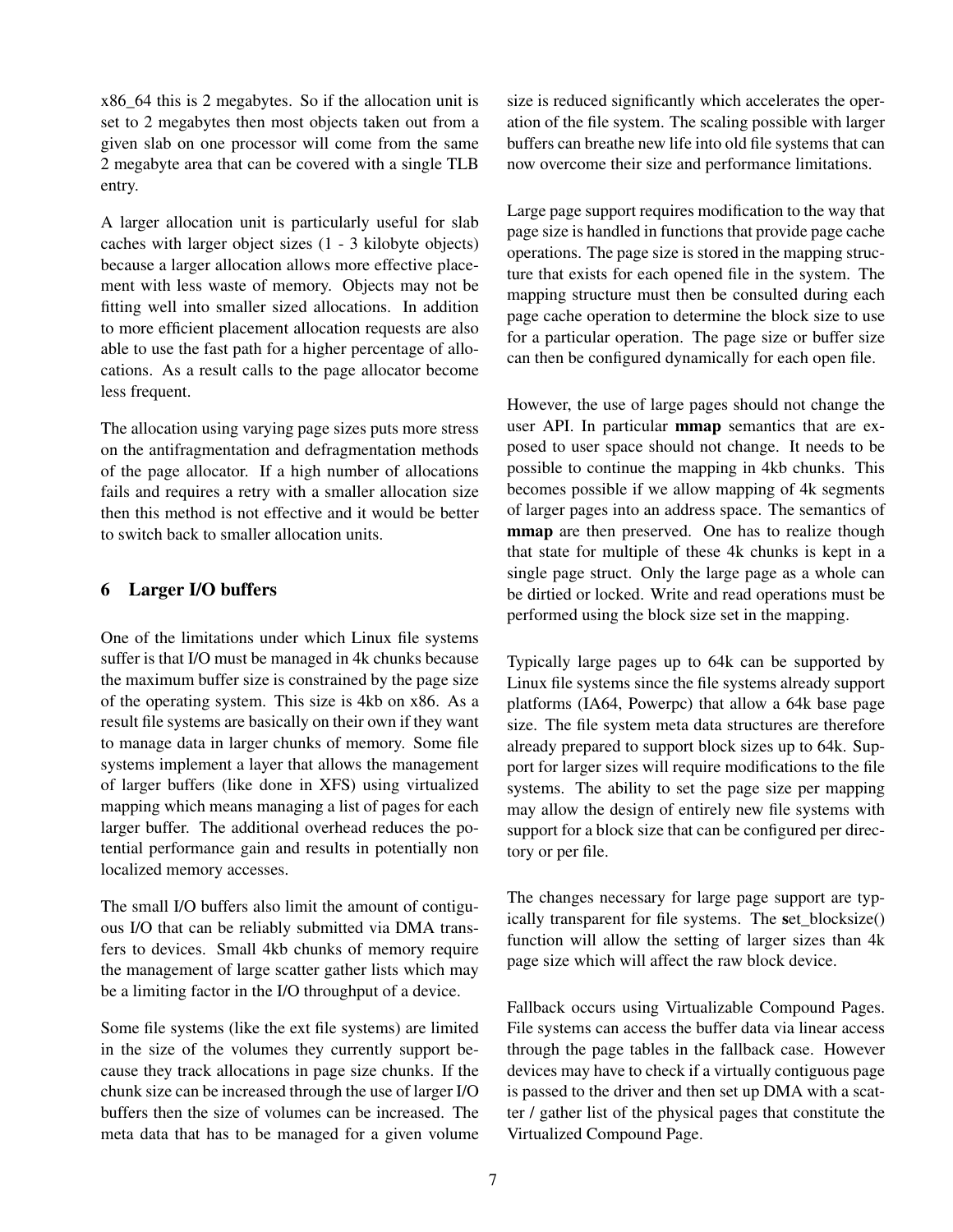x86\_64 this is 2 megabytes. So if the allocation unit is set to 2 megabytes then most objects taken out from a given slab on one processor will come from the same 2 megabyte area that can be covered with a single TLB entry.

A larger allocation unit is particularly useful for slab caches with larger object sizes (1 - 3 kilobyte objects) because a larger allocation allows more effective placement with less waste of memory. Objects may not be fitting well into smaller sized allocations. In addition to more efficient placement allocation requests are also able to use the fast path for a higher percentage of allocations. As a result calls to the page allocator become less frequent.

The allocation using varying page sizes puts more stress on the antifragmentation and defragmentation methods of the page allocator. If a high number of allocations fails and requires a retry with a smaller allocation size then this method is not effective and it would be better to switch back to smaller allocation units.

# 6 Larger I/O buffers

One of the limitations under which Linux file systems suffer is that I/O must be managed in 4k chunks because the maximum buffer size is constrained by the page size of the operating system. This size is 4kb on x86. As a result file systems are basically on their own if they want to manage data in larger chunks of memory. Some file systems implement a layer that allows the management of larger buffers (like done in XFS) using virtualized mapping which means managing a list of pages for each larger buffer. The additional overhead reduces the potential performance gain and results in potentially non localized memory accesses.

The small I/O buffers also limit the amount of contiguous I/O that can be reliably submitted via DMA transfers to devices. Small 4kb chunks of memory require the management of large scatter gather lists which may be a limiting factor in the I/O throughput of a device.

Some file systems (like the ext file systems) are limited in the size of the volumes they currently support because they track allocations in page size chunks. If the chunk size can be increased through the use of larger I/O buffers then the size of volumes can be increased. The meta data that has to be managed for a given volume size is reduced significantly which accelerates the operation of the file system. The scaling possible with larger buffers can breathe new life into old file systems that can now overcome their size and performance limitations.

Large page support requires modification to the way that page size is handled in functions that provide page cache operations. The page size is stored in the mapping structure that exists for each opened file in the system. The mapping structure must then be consulted during each page cache operation to determine the block size to use for a particular operation. The page size or buffer size can then be configured dynamically for each open file.

However, the use of large pages should not change the user API. In particular mmap semantics that are exposed to user space should not change. It needs to be possible to continue the mapping in 4kb chunks. This becomes possible if we allow mapping of 4k segments of larger pages into an address space. The semantics of mmap are then preserved. One has to realize though that state for multiple of these 4k chunks is kept in a single page struct. Only the large page as a whole can be dirtied or locked. Write and read operations must be performed using the block size set in the mapping.

Typically large pages up to 64k can be supported by Linux file systems since the file systems already support platforms (IA64, Powerpc) that allow a 64k base page size. The file system meta data structures are therefore already prepared to support block sizes up to 64k. Support for larger sizes will require modifications to the file systems. The ability to set the page size per mapping may allow the design of entirely new file systems with support for a block size that can be configured per directory or per file.

The changes necessary for large page support are typically transparent for file systems. The set blocksize() function will allow the setting of larger sizes than 4k page size which will affect the raw block device.

Fallback occurs using Virtualizable Compound Pages. File systems can access the buffer data via linear access through the page tables in the fallback case. However devices may have to check if a virtually contiguous page is passed to the driver and then set up DMA with a scatter / gather list of the physical pages that constitute the Virtualized Compound Page.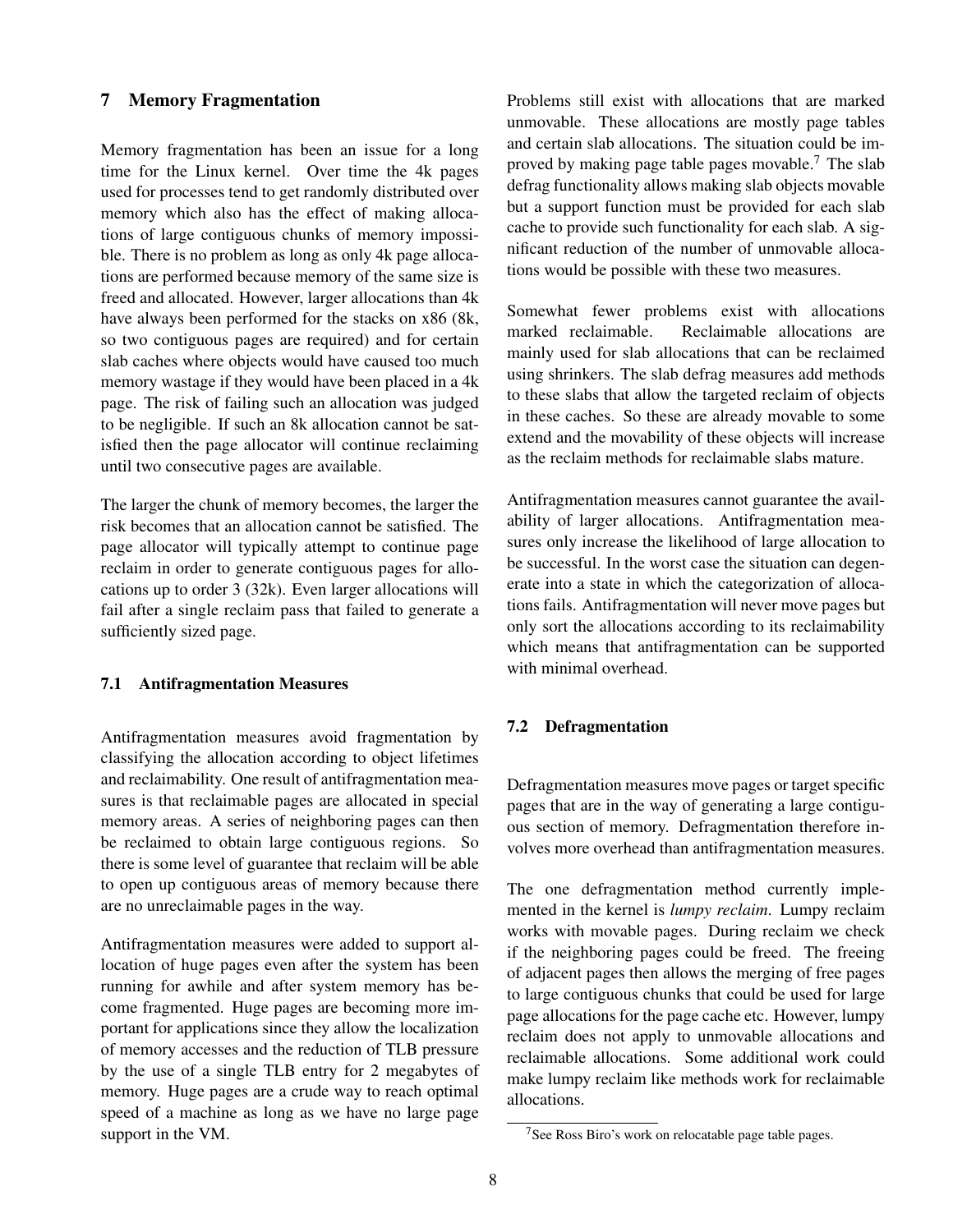## 7 Memory Fragmentation

Memory fragmentation has been an issue for a long time for the Linux kernel. Over time the 4k pages used for processes tend to get randomly distributed over memory which also has the effect of making allocations of large contiguous chunks of memory impossible. There is no problem as long as only 4k page allocations are performed because memory of the same size is freed and allocated. However, larger allocations than 4k have always been performed for the stacks on x86 (8k, so two contiguous pages are required) and for certain slab caches where objects would have caused too much memory wastage if they would have been placed in a 4k page. The risk of failing such an allocation was judged to be negligible. If such an 8k allocation cannot be satisfied then the page allocator will continue reclaiming until two consecutive pages are available.

The larger the chunk of memory becomes, the larger the risk becomes that an allocation cannot be satisfied. The page allocator will typically attempt to continue page reclaim in order to generate contiguous pages for allocations up to order 3 (32k). Even larger allocations will fail after a single reclaim pass that failed to generate a sufficiently sized page.

# 7.1 Antifragmentation Measures

Antifragmentation measures avoid fragmentation by classifying the allocation according to object lifetimes and reclaimability. One result of antifragmentation measures is that reclaimable pages are allocated in special memory areas. A series of neighboring pages can then be reclaimed to obtain large contiguous regions. So there is some level of guarantee that reclaim will be able to open up contiguous areas of memory because there are no unreclaimable pages in the way.

Antifragmentation measures were added to support allocation of huge pages even after the system has been running for awhile and after system memory has become fragmented. Huge pages are becoming more important for applications since they allow the localization of memory accesses and the reduction of TLB pressure by the use of a single TLB entry for 2 megabytes of memory. Huge pages are a crude way to reach optimal speed of a machine as long as we have no large page support in the VM.

Problems still exist with allocations that are marked unmovable. These allocations are mostly page tables and certain slab allocations. The situation could be improved by making page table pages movable.<sup>7</sup> The slab defrag functionality allows making slab objects movable but a support function must be provided for each slab cache to provide such functionality for each slab. A significant reduction of the number of unmovable allocations would be possible with these two measures.

Somewhat fewer problems exist with allocations marked reclaimable. Reclaimable allocations are mainly used for slab allocations that can be reclaimed using shrinkers. The slab defrag measures add methods to these slabs that allow the targeted reclaim of objects in these caches. So these are already movable to some extend and the movability of these objects will increase as the reclaim methods for reclaimable slabs mature.

Antifragmentation measures cannot guarantee the availability of larger allocations. Antifragmentation measures only increase the likelihood of large allocation to be successful. In the worst case the situation can degenerate into a state in which the categorization of allocations fails. Antifragmentation will never move pages but only sort the allocations according to its reclaimability which means that antifragmentation can be supported with minimal overhead.

#### 7.2 Defragmentation

Defragmentation measures move pages or target specific pages that are in the way of generating a large contiguous section of memory. Defragmentation therefore involves more overhead than antifragmentation measures.

The one defragmentation method currently implemented in the kernel is *lumpy reclaim*. Lumpy reclaim works with movable pages. During reclaim we check if the neighboring pages could be freed. The freeing of adjacent pages then allows the merging of free pages to large contiguous chunks that could be used for large page allocations for the page cache etc. However, lumpy reclaim does not apply to unmovable allocations and reclaimable allocations. Some additional work could make lumpy reclaim like methods work for reclaimable allocations.

<sup>&</sup>lt;sup>7</sup>See Ross Biro's work on relocatable page table pages.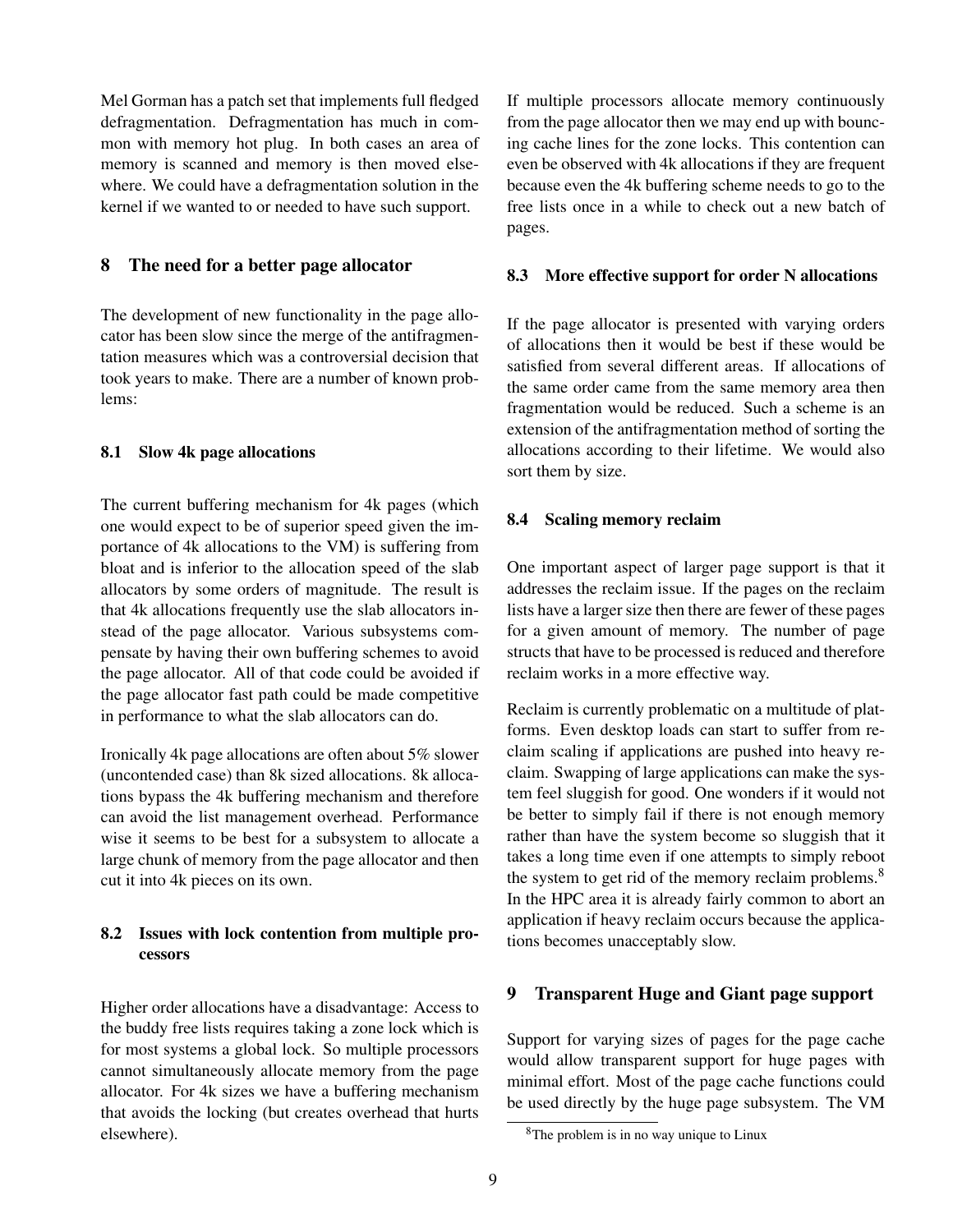Mel Gorman has a patch set that implements full fledged defragmentation. Defragmentation has much in common with memory hot plug. In both cases an area of memory is scanned and memory is then moved elsewhere. We could have a defragmentation solution in the kernel if we wanted to or needed to have such support.

# 8 The need for a better page allocator

The development of new functionality in the page allocator has been slow since the merge of the antifragmentation measures which was a controversial decision that took years to make. There are a number of known problems:

## 8.1 Slow 4k page allocations

The current buffering mechanism for 4k pages (which one would expect to be of superior speed given the importance of 4k allocations to the VM) is suffering from bloat and is inferior to the allocation speed of the slab allocators by some orders of magnitude. The result is that 4k allocations frequently use the slab allocators instead of the page allocator. Various subsystems compensate by having their own buffering schemes to avoid the page allocator. All of that code could be avoided if the page allocator fast path could be made competitive in performance to what the slab allocators can do.

Ironically 4k page allocations are often about 5% slower (uncontended case) than 8k sized allocations. 8k allocations bypass the 4k buffering mechanism and therefore can avoid the list management overhead. Performance wise it seems to be best for a subsystem to allocate a large chunk of memory from the page allocator and then cut it into 4k pieces on its own.

# 8.2 Issues with lock contention from multiple processors

Higher order allocations have a disadvantage: Access to the buddy free lists requires taking a zone lock which is for most systems a global lock. So multiple processors cannot simultaneously allocate memory from the page allocator. For 4k sizes we have a buffering mechanism that avoids the locking (but creates overhead that hurts elsewhere).

If multiple processors allocate memory continuously from the page allocator then we may end up with bouncing cache lines for the zone locks. This contention can even be observed with 4k allocations if they are frequent because even the 4k buffering scheme needs to go to the free lists once in a while to check out a new batch of pages.

#### 8.3 More effective support for order N allocations

If the page allocator is presented with varying orders of allocations then it would be best if these would be satisfied from several different areas. If allocations of the same order came from the same memory area then fragmentation would be reduced. Such a scheme is an extension of the antifragmentation method of sorting the allocations according to their lifetime. We would also sort them by size.

## 8.4 Scaling memory reclaim

One important aspect of larger page support is that it addresses the reclaim issue. If the pages on the reclaim lists have a larger size then there are fewer of these pages for a given amount of memory. The number of page structs that have to be processed is reduced and therefore reclaim works in a more effective way.

Reclaim is currently problematic on a multitude of platforms. Even desktop loads can start to suffer from reclaim scaling if applications are pushed into heavy reclaim. Swapping of large applications can make the system feel sluggish for good. One wonders if it would not be better to simply fail if there is not enough memory rather than have the system become so sluggish that it takes a long time even if one attempts to simply reboot the system to get rid of the memory reclaim problems.<sup>8</sup> In the HPC area it is already fairly common to abort an application if heavy reclaim occurs because the applications becomes unacceptably slow.

# 9 Transparent Huge and Giant page support

Support for varying sizes of pages for the page cache would allow transparent support for huge pages with minimal effort. Most of the page cache functions could be used directly by the huge page subsystem. The VM

<sup>8</sup>The problem is in no way unique to Linux